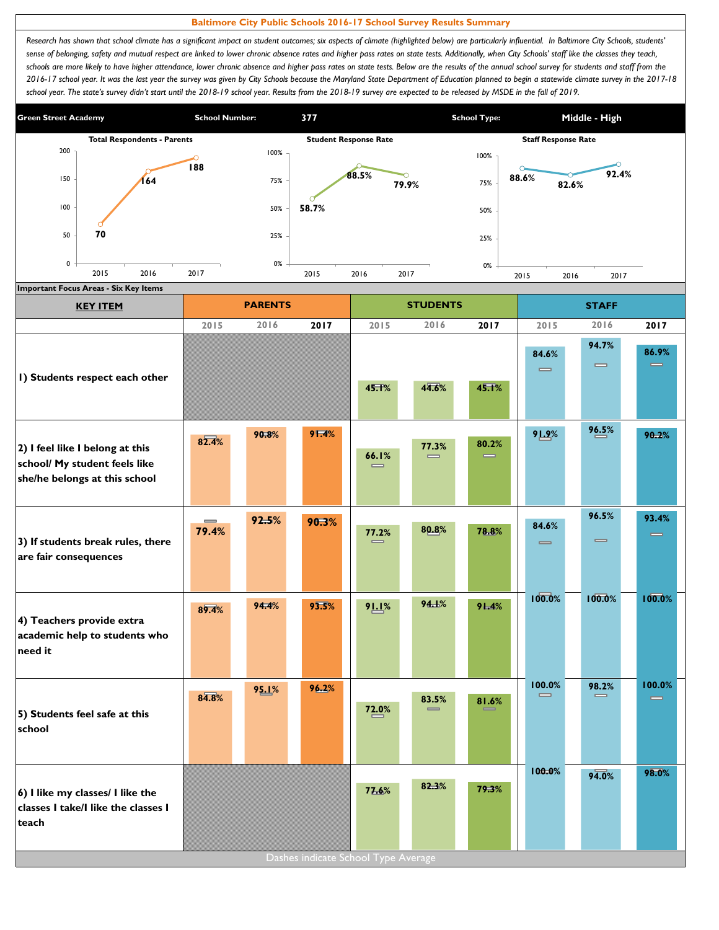## **Baltimore City Public Schools 2016-17 School Survey Results Summary**

Research has shown that school climate has a significant impact on student outcomes; six aspects of climate (highlighted below) are particularly influential. In Baltimore City Schools, students' sense of belonging, safety and mutual respect are linked to lower chronic absence rates and higher pass rates on state tests. Additionally, when City Schools' staff like the classes they teach, schools are more likely to have higher attendance, lower chronic absence and higher pass rates on state tests. Below are the results of the annual school survey for students and staff from the *2016-17 school year. It was the last year the survey was given by City Schools because the Maryland State Department of Education planned to begin a statewide climate survey in the 2017-18*  school year. The state's survey didn't start until the 2018-19 school year. Results from the 2018-19 survey are expected to be released by MSDE in the fall of 2019.



| <b>KEY ITEM</b>                                                                                   | <b>PARENTS</b><br><b>STUDENTS</b> |       |                                     |                   |                                       |                   | <b>STAFF</b>                          |                                       |                    |  |
|---------------------------------------------------------------------------------------------------|-----------------------------------|-------|-------------------------------------|-------------------|---------------------------------------|-------------------|---------------------------------------|---------------------------------------|--------------------|--|
|                                                                                                   | 2015                              | 2016  | 2017                                | 2015              | 2016                                  | 2017              | 2015                                  | 2016                                  | 2017               |  |
| I) Students respect each other                                                                    |                                   |       |                                     | 45.1%             | 44.6%                                 | 45.1%             | 84.6%<br>$\qquad \qquad \blacksquare$ | 94.7%<br>$\qquad \qquad \blacksquare$ | 86.9%<br>$\equiv$  |  |
| 2) I feel like I belong at this<br>school/ My student feels like<br>she/he belongs at this school | 82.4%                             | 90.8% | 91.4%                               | 66.1%<br>$\equiv$ | 77.3%<br>$\qquad \qquad \blacksquare$ | 80.2%<br>$\equiv$ | 91.9%                                 | 96.5%                                 | 90.2%              |  |
| 3) If students break rules, there<br>are fair consequences                                        | $\equiv$<br>79.4%                 | 92.5% | 90.3%                               | 77.2%<br>$\equiv$ | 80.8%                                 | 78.8%             | 84.6%<br>$\qquad \qquad \blacksquare$ | 96.5%<br>$\qquad \qquad \blacksquare$ | 93.4%<br>$\equiv$  |  |
| 4) Teachers provide extra<br>academic help to students who<br>need it                             | 89.4%                             | 94.4% | 93.5%                               | 91.1%             | 94.1%                                 | 91.4%             | 100.0%                                | 100.0%                                | 100.0%             |  |
| 5) Students feel safe at this<br>school                                                           | $8\sqrt{4.8}$ %                   | 95.1% | 96.2%                               | 72.0%             | 83.5%<br>$=$                          | 81.6%             | 100.0%                                | 98.2%                                 | 100.0%<br>$\equiv$ |  |
| 6) I like my classes/ I like the<br>classes I take/I like the classes I<br>teach                  |                                   |       | Dashes indicate School Type Average | 77.6%             | 82.3%                                 | 79.3%             | 100.0%                                | 94.0%                                 | 98.0%              |  |